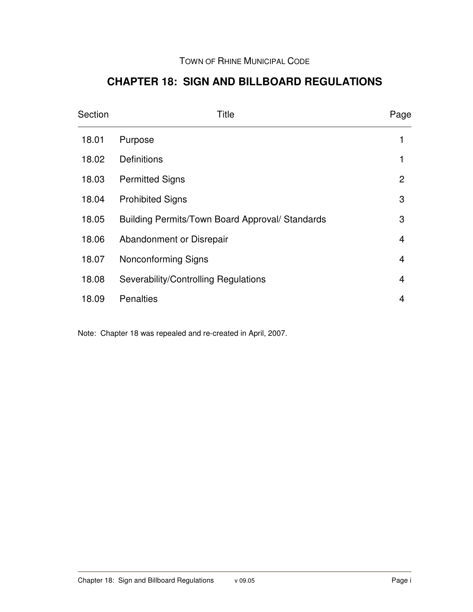# TOWN OF RHINE MUNICIPAL CODE

# **CHAPTER 18: SIGN AND BILLBOARD REGULATIONS**

| <b>Title</b>                                    | Page           |
|-------------------------------------------------|----------------|
| Purpose                                         | 1              |
| <b>Definitions</b>                              | 1              |
| <b>Permitted Signs</b>                          | 2              |
| <b>Prohibited Signs</b>                         | 3              |
| Building Permits/Town Board Approval/ Standards | 3              |
| Abandonment or Disrepair                        | $\overline{4}$ |
| Nonconforming Signs                             | $\overline{4}$ |
| Severability/Controlling Regulations            | $\overline{4}$ |
| <b>Penalties</b>                                | 4              |
|                                                 |                |

Note: Chapter 18 was repealed and re-created in April, 2007.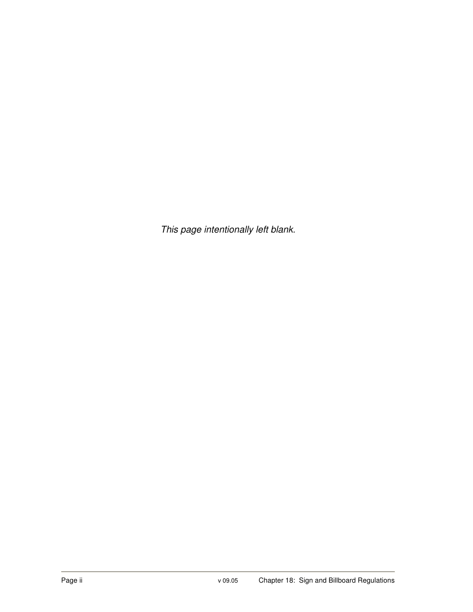This page intentionally left blank.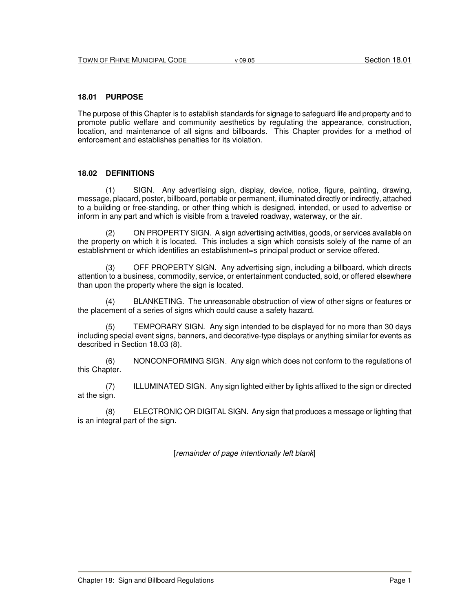#### **18.01 PURPOSE**

The purpose of this Chapter is to establish standards for signage to safeguard life and property and to promote public welfare and community aesthetics by regulating the appearance, construction, location, and maintenance of all signs and billboards. This Chapter provides for a method of enforcement and establishes penalties for its violation.

#### **18.02 DEFINITIONS**

(1) SIGN. Any advertising sign, display, device, notice, figure, painting, drawing, message, placard, poster, billboard, portable or permanent, illuminated directly or indirectly, attached to a building or free-standing, or other thing which is designed, intended, or used to advertise or inform in any part and which is visible from a traveled roadway, waterway, or the air.

(2) ON PROPERTY SIGN. A sign advertising activities, goods, or services available on the property on which it is located. This includes a sign which consists solely of the name of an establishment or which identifies an establishment=s principal product or service offered.

(3) OFF PROPERTY SIGN. Any advertising sign, including a billboard, which directs attention to a business, commodity, service, or entertainment conducted, sold, or offered elsewhere than upon the property where the sign is located.

(4) BLANKETING. The unreasonable obstruction of view of other signs or features or the placement of a series of signs which could cause a safety hazard.

(5) TEMPORARY SIGN. Any sign intended to be displayed for no more than 30 days including special event signs, banners, and decorative-type displays or anything similar for events as described in Section 18.03 (8).

(6) NONCONFORMING SIGN. Any sign which does not conform to the regulations of this Chapter.

(7) ILLUMINATED SIGN. Any sign lighted either by lights affixed to the sign or directed at the sign.

(8) ELECTRONIC OR DIGITAL SIGN. Any sign that produces a message or lighting that is an integral part of the sign.

[remainder of page intentionally left blank]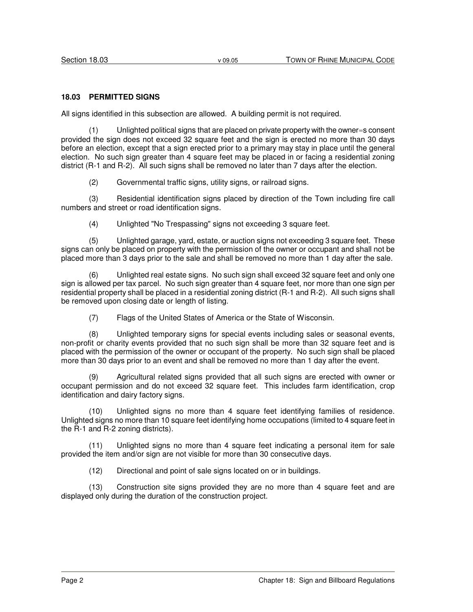#### **18.03 PERMITTED SIGNS**

All signs identified in this subsection are allowed. A building permit is not required.

(1) Unlighted political signs that are placed on private property with the owner=s consent provided the sign does not exceed 32 square feet and the sign is erected no more than 30 days before an election, except that a sign erected prior to a primary may stay in place until the general election. No such sign greater than 4 square feet may be placed in or facing a residential zoning district (R-1 and R-2). All such signs shall be removed no later than 7 days after the election.

(2) Governmental traffic signs, utility signs, or railroad signs.

(3) Residential identification signs placed by direction of the Town including fire call numbers and street or road identification signs.

(4) Unlighted "No Trespassing" signs not exceeding 3 square feet.

(5) Unlighted garage, yard, estate, or auction signs not exceeding 3 square feet. These signs can only be placed on property with the permission of the owner or occupant and shall not be placed more than 3 days prior to the sale and shall be removed no more than 1 day after the sale.

Unlighted real estate signs. No such sign shall exceed 32 square feet and only one sign is allowed per tax parcel. No such sign greater than 4 square feet, nor more than one sign per residential property shall be placed in a residential zoning district (R-1 and R-2). All such signs shall be removed upon closing date or length of listing.

(7) Flags of the United States of America or the State of Wisconsin.

(8) Unlighted temporary signs for special events including sales or seasonal events, non-profit or charity events provided that no such sign shall be more than 32 square feet and is placed with the permission of the owner or occupant of the property. No such sign shall be placed more than 30 days prior to an event and shall be removed no more than 1 day after the event.

(9) Agricultural related signs provided that all such signs are erected with owner or occupant permission and do not exceed 32 square feet. This includes farm identification, crop identification and dairy factory signs.

(10) Unlighted signs no more than 4 square feet identifying families of residence. Unlighted signs no more than 10 square feet identifying home occupations (limited to 4 square feet in the R-1 and R-2 zoning districts).

(11) Unlighted signs no more than 4 square feet indicating a personal item for sale provided the item and/or sign are not visible for more than 30 consecutive days.

(12) Directional and point of sale signs located on or in buildings.

(13) Construction site signs provided they are no more than 4 square feet and are displayed only during the duration of the construction project.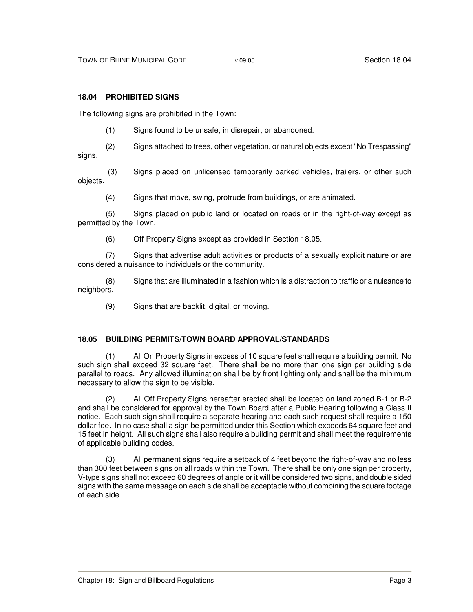#### **18.04 PROHIBITED SIGNS**

The following signs are prohibited in the Town:

(1) Signs found to be unsafe, in disrepair, or abandoned.

(2) Signs attached to trees, other vegetation, or natural objects except "No Trespassing" signs.

 (3) Signs placed on unlicensed temporarily parked vehicles, trailers, or other such objects.

(4) Signs that move, swing, protrude from buildings, or are animated.

(5) Signs placed on public land or located on roads or in the right-of-way except as permitted by the Town.

(6) Off Property Signs except as provided in Section 18.05.

(7) Signs that advertise adult activities or products of a sexually explicit nature or are considered a nuisance to individuals or the community.

(8) Signs that are illuminated in a fashion which is a distraction to traffic or a nuisance to neighbors.

(9) Signs that are backlit, digital, or moving.

#### **18.05 BUILDING PERMITS/TOWN BOARD APPROVAL/STANDARDS**

(1) All On Property Signs in excess of 10 square feet shall require a building permit. No such sign shall exceed 32 square feet. There shall be no more than one sign per building side parallel to roads. Any allowed illumination shall be by front lighting only and shall be the minimum necessary to allow the sign to be visible.

(2) All Off Property Signs hereafter erected shall be located on land zoned B-1 or B-2 and shall be considered for approval by the Town Board after a Public Hearing following a Class II notice. Each such sign shall require a separate hearing and each such request shall require a 150 dollar fee. In no case shall a sign be permitted under this Section which exceeds 64 square feet and 15 feet in height. All such signs shall also require a building permit and shall meet the requirements of applicable building codes.

(3) All permanent signs require a setback of 4 feet beyond the right-of-way and no less than 300 feet between signs on all roads within the Town. There shall be only one sign per property, V-type signs shall not exceed 60 degrees of angle or it will be considered two signs, and double sided signs with the same message on each side shall be acceptable without combining the square footage of each side.